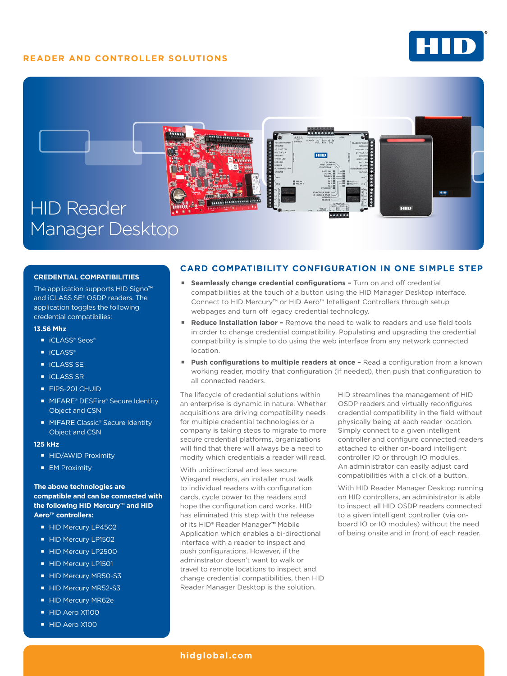# **READER AND CONTROLLER SOLUTIONS**





#### **CREDENTIAL COMPATIBILITIES**

The application supports HID Signo**™**  and iCLASS SE® OSDP readers. The application toggles the following credential compatibilies:

#### **13.56 Mhz**

- iCLASS® Seos®
- iCLASS®
- **iCLASS SE**
- iCLASS SR
- **FIPS-201 CHUID**
- MIFARE® DESFire® Secure Identity Object and CSN
- **MIFARE Classic® Secure Identity** Object and CSN

#### **125 kHz**

- **HID/AWID Proximity**
- **EM Proximity**

### **The above technologies are compatible and can be connected with the following HID Mercury™ and HID Aero™ controllers:**

- HID Mercury LP4502
- HID Mercury LP1502
- HID Mercury LP2500
- HID Mercury LP1501
- HID Mercury MR50-S3
- HID Mercury MR52-S3
- HID Mercury MR62e
- HID Aero X1100
- HID Aero X100

## **CARD COMPATIBILITY CONFIGURATION IN ONE SIMPLE STEP**

- **Seamlessly change credential configurations Turn on and off credential** compatibilities at the touch of a button using the HID Manager Desktop interface. Connect to HID Mercury™ or HID Aero™ Intelligent Controllers through setup webpages and turn off legacy credential technology.
- **Reduce installation labor** Remove the need to walk to readers and use field tools in order to change credential compatibility. Populating and upgrading the credential compatibility is simple to do using the web interface from any network connected location.
- **Push configurations to multiple readers at once Read a configuration from a known** working reader, modify that configuration (if needed), then push that configuration to all connected readers.

The lifecycle of credential solutions within an enterprise is dynamic in nature. Whether acquisitions are driving compatibility needs for multiple credential technologies or a company is taking steps to migrate to more secure credential platforms, organizations will find that there will always be a need to modify which credentials a reader will read.

With unidirectional and less secure Wiegand readers, an installer must walk to individual readers with configuration cards, cycle power to the readers and hope the configuration card works. HID has eliminated this step with the release of its HID® Reader Manager**™** Mobile Application which enables a bi-directional interface with a reader to inspect and push configurations. However, if the adminstrator doesn't want to walk or travel to remote locations to inspect and change credential compatibilities, then HID Reader Manager Desktop is the solution.

HID streamlines the management of HID OSDP readers and virtually reconfigures credential compatibility in the field without physically being at each reader location. Simply connect to a given intelligent controller and configure connected readers attached to either on-board intelligent controller IO or through IO modules. An administrator can easily adjust card compatibilities with a click of a button.

With HID Reader Manager Desktop running on HID controllers, an administrator is able to inspect all HID OSDP readers connected to a given intelligent controller (via onboard IO or IO modules) without the need of being onsite and in front of each reader.